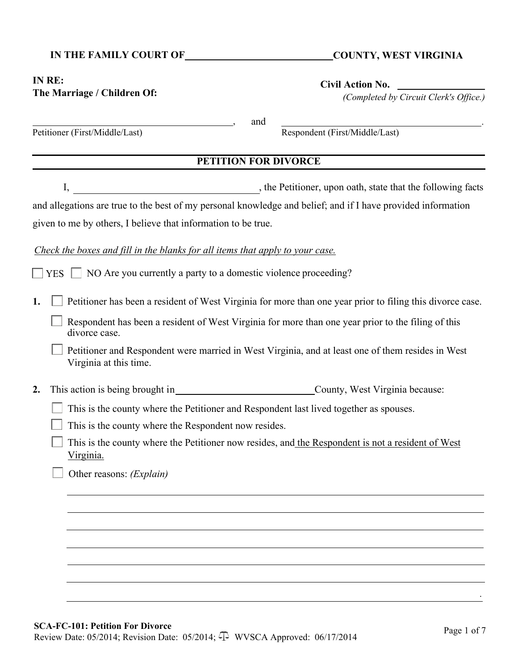# IN THE FAMILY COURT OF COUNTY, WEST VIRGINIA

## **IN RE: The Marriage / Children Of:**

**Civil Action No.** 

*(Completed by Circuit Clerk's Office.)*

|            | and<br>Respondent (First/Middle/Last)<br>Petitioner (First/Middle/Last)                                                                                                                                                                                                                                                                                                                                 |
|------------|---------------------------------------------------------------------------------------------------------------------------------------------------------------------------------------------------------------------------------------------------------------------------------------------------------------------------------------------------------------------------------------------------------|
|            | <b>PETITION FOR DIVORCE</b>                                                                                                                                                                                                                                                                                                                                                                             |
| <b>YES</b> | the Petitioner, upon oath, state that the following facts<br>I,<br>and allegations are true to the best of my personal knowledge and belief; and if I have provided information<br>given to me by others, I believe that information to be true.<br>Check the boxes and fill in the blanks for all items that apply to your case.<br>NO Are you currently a party to a domestic violence proceeding?    |
| 1.         | Petitioner has been a resident of West Virginia for more than one year prior to filing this divorce case.<br>Respondent has been a resident of West Virginia for more than one year prior to the filing of this<br>divorce case.<br>Petitioner and Respondent were married in West Virginia, and at least one of them resides in West<br>Virginia at this time.                                         |
| 2.         | This action is being brought in___________________________________County, West Virginia because:<br>This is the county where the Petitioner and Respondent last lived together as spouses.<br>This is the county where the Respondent now resides.<br>This is the county where the Petitioner now resides, and the Respondent is not a resident of West<br><u>Virginia.</u><br>Other reasons: (Explain) |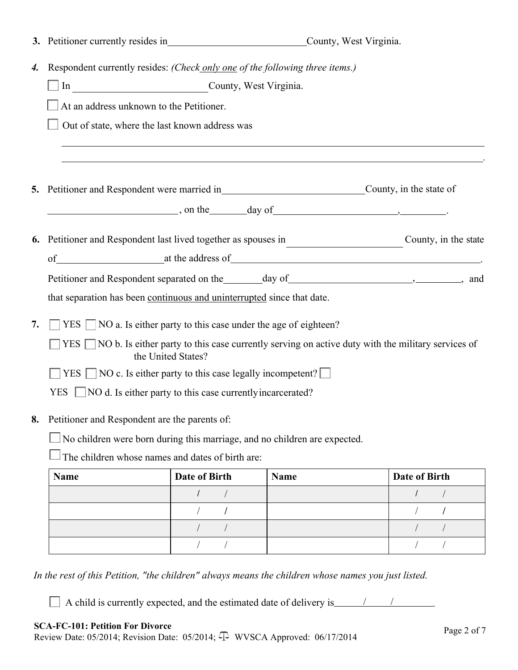|                                                                           | 3. Petitioner currently resides in<br><u>County</u> , West Virginia.                                      |                                                            |                                               |               |  |
|---------------------------------------------------------------------------|-----------------------------------------------------------------------------------------------------------|------------------------------------------------------------|-----------------------------------------------|---------------|--|
| 4.                                                                        | Respondent currently resides: (Check only one of the following three items.)                              |                                                            |                                               |               |  |
| In County, West Virginia.                                                 |                                                                                                           |                                                            |                                               |               |  |
|                                                                           | At an address unknown to the Petitioner.                                                                  |                                                            |                                               |               |  |
|                                                                           | Out of state, where the last known address was                                                            |                                                            |                                               |               |  |
|                                                                           |                                                                                                           |                                                            |                                               |               |  |
|                                                                           |                                                                                                           |                                                            |                                               |               |  |
|                                                                           | 5. Petitioner and Respondent were married in<br><u>County</u> , in the state of                           |                                                            |                                               |               |  |
|                                                                           |                                                                                                           |                                                            | $\frac{1}{2}$ , on the day of $\frac{1}{2}$ . |               |  |
|                                                                           |                                                                                                           |                                                            |                                               |               |  |
|                                                                           | 6. Petitioner and Respondent last lived together as spouses in County, in the state                       |                                                            |                                               |               |  |
|                                                                           | of at the address of                                                                                      |                                                            |                                               |               |  |
|                                                                           |                                                                                                           |                                                            |                                               |               |  |
|                                                                           | that separation has been continuous and uninterrupted since that date.                                    |                                                            |                                               |               |  |
| 7.                                                                        | $YES \tNO a.$ Is either party to this case under the age of eighteen?                                     |                                                            |                                               |               |  |
|                                                                           | $YES \tNOB$ . Is either party to this case currently serving on active duty with the military services of |                                                            |                                               |               |  |
|                                                                           |                                                                                                           | the United States?                                         |                                               |               |  |
|                                                                           | YES NO c. Is either party to this case legally incompetent?                                               |                                                            |                                               |               |  |
|                                                                           | <b>YES</b>                                                                                                | NO d. Is either party to this case currently incarcerated? |                                               |               |  |
| 8.                                                                        | Petitioner and Respondent are the parents of:                                                             |                                                            |                                               |               |  |
| No children were born during this marriage, and no children are expected. |                                                                                                           |                                                            |                                               |               |  |
|                                                                           | The children whose names and dates of birth are:                                                          |                                                            |                                               |               |  |
|                                                                           | <b>Name</b>                                                                                               | <b>Date of Birth</b>                                       | <b>Name</b>                                   | Date of Birth |  |
|                                                                           |                                                                                                           |                                                            |                                               |               |  |
|                                                                           |                                                                                                           |                                                            |                                               |               |  |
|                                                                           |                                                                                                           |                                                            |                                               |               |  |
|                                                                           |                                                                                                           |                                                            |                                               |               |  |

*In the rest of this Petition, "the children" always means the children whose names you just listed.* 

 $\Box$  A child is currently expected, and the estimated date of delivery is  $\Box$  /  $\Box$ 

## **SCA-FC-101: Petition For Divorce**

SCA-FC-I01: Fettion For Divorce<br>Review Date: 05/2014; Revision Date: 05/2014;  $\Phi$  WVSCA Approved: 06/17/2014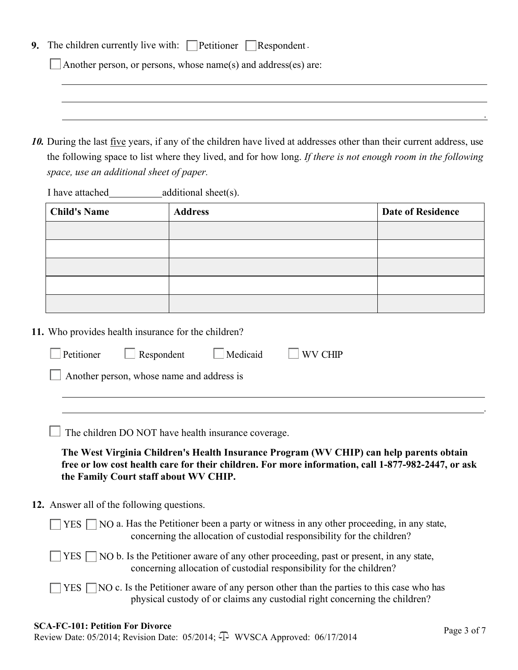|  |  | 9. The children currently live with: Petitioner $\Box$ Respondent. |  |  |
|--|--|--------------------------------------------------------------------|--|--|
|--|--|--------------------------------------------------------------------|--|--|

Another person, or persons, whose name(s) and address(es) are:

*10.* During the last five years, if any of the children have lived at addresses other than their current address, use the following space to list where they lived, and for how long. *If there is not enough room in the following space, use an additional sheet of paper.* 

I have attached additional sheet(s).

| <b>Child's Name</b> | <b>Address</b> | <b>Date of Residence</b> |
|---------------------|----------------|--------------------------|
|                     |                |                          |
|                     |                |                          |
|                     |                |                          |
|                     |                |                          |
|                     |                |                          |

**11.** Who provides health insurance for the children?

|                                                  | $\Box$ Petitioner $\Box$ Respondent | $\Box$ Medicaid | $\Box$ WV CHIP |  |  |  |
|--------------------------------------------------|-------------------------------------|-----------------|----------------|--|--|--|
| $\Box$ Another person, whose name and address is |                                     |                 |                |  |  |  |
|                                                  |                                     |                 |                |  |  |  |

 $\Box$  The children DO NOT have health insurance coverage.

**The West Virginia Children's Health Insurance Program (WV CHIP) can help parents obtain free or low cost health care for their children. For more information, call 1-877-982-2447, or ask the Family Court staff about WV CHIP.**

**12.** Answer all of the following questions.

| $\Box$ YES $\Box$ NO a. Has the Petitioner been a party or witness in any other proceeding, in any state,<br>concerning the allocation of custodial responsibility for the children?    |
|-----------------------------------------------------------------------------------------------------------------------------------------------------------------------------------------|
| $\Box$ YES $\Box$ NO b. Is the Petitioner aware of any other proceeding, past or present, in any state,<br>concerning allocation of custodial responsibility for the children?          |
| $\Box$ YES $\Box$ NO c. Is the Petitioner aware of any person other than the parties to this case who has<br>physical custody of or claims any custodial right concerning the children? |

## **SCA-FC-101: Petition For Divorce**

SCA-FC-I01: Fettion For Divorce<br>Review Date: 05/2014; Revision Date: 05/2014;  $\Phi$  WVSCA Approved: 06/17/2014

.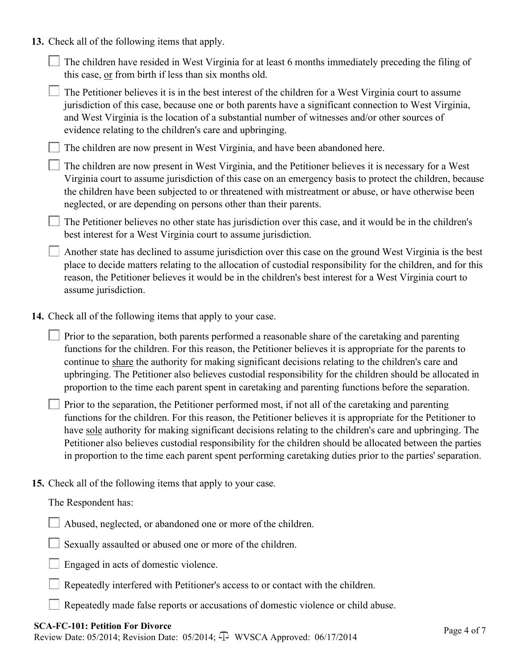**13.** Check all of the following items that apply.

 $\Box$  The children have resided in West Virginia for at least 6 months immediately preceding the filing of this case, or from birth if less than six months old.

 $\Box$  The Petitioner believes it is in the best interest of the children for a West Virginia court to assume jurisdiction of this case, because one or both parents have a significant connection to West Virginia, and West Virginia is the location of a substantial number of witnesses and/or other sources of evidence relating to the children's care and upbringing.

 $\Box$  The children are now present in West Virginia, and have been abandoned here.

The children are now present in West Virginia, and the Petitioner believes it is necessary for a West Virginia court to assume jurisdiction of this case on an emergency basis to protect the children, because the children have been subjected to or threatened with mistreatment or abuse, or have otherwise been neglected, or are depending on persons other than their parents.

 $\Box$  The Petitioner believes no other state has jurisdiction over this case, and it would be in the children's best interest for a West Virginia court to assume jurisdiction.

Another state has declined to assume jurisdiction over this case on the ground West Virginia is the best place to decide matters relating to the allocation of custodial responsibility for the children, and for this reason, the Petitioner believes it would be in the children's best interest for a West Virginia court to assume jurisdiction.

**14.** Check all of the following items that apply to your case.

 $\Box$  Prior to the separation, both parents performed a reasonable share of the caretaking and parenting functions for the children. For this reason, the Petitioner believes it is appropriate for the parents to continue to share the authority for making significant decisions relating to the children's care and upbringing. The Petitioner also believes custodial responsibility for the children should be allocated in proportion to the time each parent spent in caretaking and parenting functions before the separation.

**Prior to the separation, the Petitioner performed most, if not all of the caretaking and parenting** functions for the children. For this reason, the Petitioner believes it is appropriate for the Petitioner to have sole authority for making significant decisions relating to the children's care and upbringing. The Petitioner also believes custodial responsibility for the children should be allocated between the parties in proportion to the time each parent spent performing caretaking duties prior to the parties' separation.

**15.** Check all of the following items that apply to your case.

The Respondent has:

Abused, neglected, or abandoned one or more of the children.

Sexually assaulted or abused one or more of the children.

Engaged in acts of domestic violence.

Repeatedly interfered with Petitioner's access to or contact with the children.

Repeatedly made false reports or accusations of domestic violence or child abuse.

#### **SCA-FC-101: Petition For Divorce**

SCA-FC-I01: Fettion For Divorce<br>Review Date: 05/2014; Revision Date: 05/2014;  $\Phi$  WVSCA Approved: 06/17/2014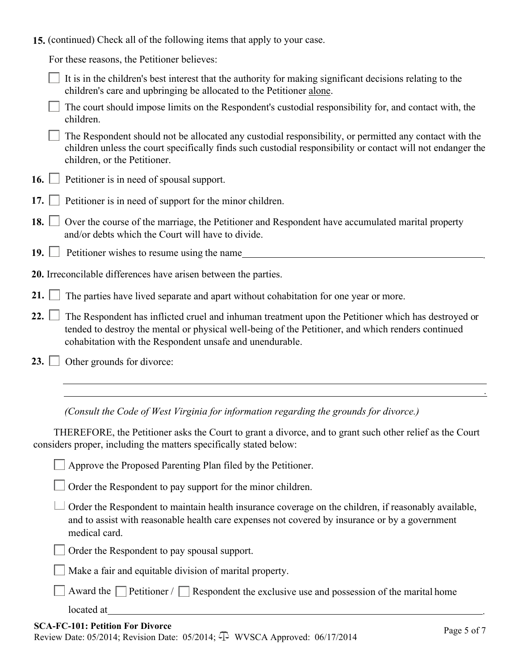**15.** (continued) Check all of the following items that apply to your case.

For these reasons, the Petitioner believes:

| $\Box$ It is in the children's best interest that the authority for making significant decisions relating to the |
|------------------------------------------------------------------------------------------------------------------|
| children's care and upbringing be allocated to the Petitioner alone.                                             |

- $\Box$  The court should impose limits on the Respondent's custodial responsibility for, and contact with, the children.
- The Respondent should not be allocated any custodial responsibility, or permitted any contact with the children unless the court specifically finds such custodial responsibility or contact will not endanger the children, or the Petitioner.
- 16.  $\Box$  Petitioner is in need of spousal support.
- **17.** Petitioner is in need of support for the minor children.
- 18.  $\Box$  Over the course of the marriage, the Petitioner and Respondent have accumulated marital property and/or debts which the Court will have to divide.
- **19.** Petitioner wishes to resume using the name
- **20.** Irreconcilable differences have arisen between the parties.
- 21. **The parties have lived separate and apart without cohabitation for one year or more.**
- 22.  $\Box$  The Respondent has inflicted cruel and inhuman treatment upon the Petitioner which has destroyed or tended to destroy the mental or physical well-being of the Petitioner, and which renders continued cohabitation with the Respondent unsafe and unendurable.
- 23. **Other grounds for divorce:**

*(Consult the Code of West Virginia for information regarding the grounds for divorce.)* 

THEREFORE, the Petitioner asks the Court to grant a divorce, and to grant such other relief as the Court considers proper, including the matters specifically stated below:

Approve the Proposed Parenting Plan filed by the Petitioner.

 $\Box$  Order the Respondent to pay support for the minor children.

 $\Box$  Order the Respondent to maintain health insurance coverage on the children, if reasonably available, and to assist with reasonable health care expenses not covered by insurance or by a government medical card.

Order the Respondent to pay spousal support.

Make a fair and equitable division of marital property.

Award the Petitioner / Respondent the exclusive use and possession of the marital home

located at .

.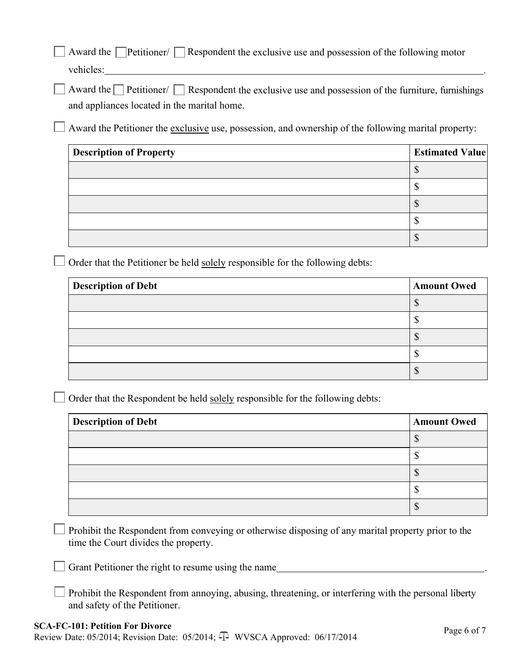Award the  $\Box$  Petitioner/  $\Box$  Respondent the exclusive use and possession of the following motor vehicles: .

Award the **Petitioner/** Respondent the exclusive use and possession of the furniture, furnishings and appliances located in the marital home.

 $\Box$  Award the Petitioner the exclusive use, possession, and ownership of the following marital property:

| <b>Description of Property</b> | <b>Estimated Value</b> |
|--------------------------------|------------------------|
|                                |                        |
|                                |                        |
|                                |                        |
|                                |                        |
|                                |                        |

 $\Box$  Order that the Petitioner be held solely responsible for the following debts:

| <b>Description of Debt</b> | <b>Amount Owed</b> |
|----------------------------|--------------------|
|                            |                    |
|                            |                    |
|                            |                    |
|                            |                    |
|                            |                    |

 $\Box$  Order that the Respondent be held solely responsible for the following debts:

| <b>Description of Debt</b> | <b>Amount Owed</b> |
|----------------------------|--------------------|
|                            |                    |
|                            |                    |
|                            |                    |
|                            |                    |
|                            | ື                  |

Prohibit the Respondent from conveying or otherwise disposing of any marital property prior to the  $\Box$ time the Court divides the property.

Grant Petitioner the right to resume using the name  $\Box$ 

Prohibit the Respondent from annoying, abusing, threatening, or interfering with the personal liberty and safety of the Petitioner.

#### **SCA-FC-101: Petition For Divorce**